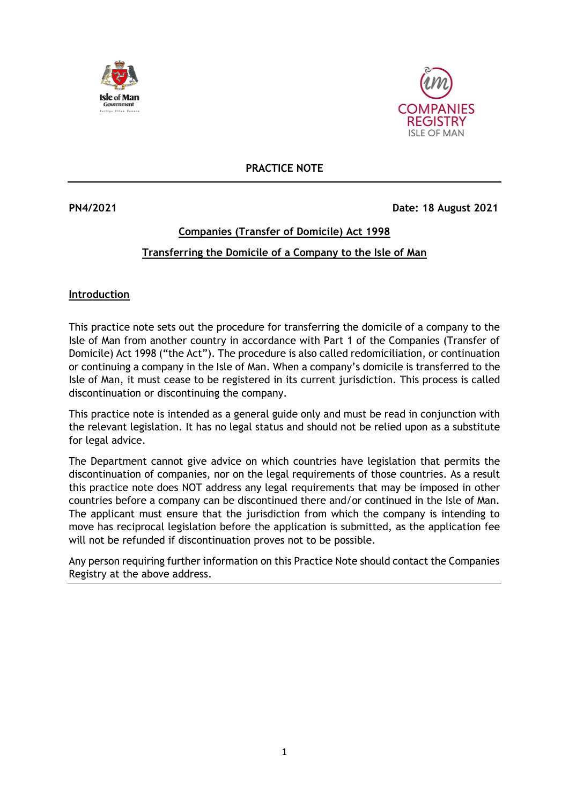



**PRACTICE NOTE**

**PN4/2021 Date: 18 August 2021** 

## **Companies (Transfer of Domicile) Act 1998 Transferring the Domicile of a Company to the Isle of Man**

## **Introduction**

This practice note sets out the procedure for transferring the domicile of a company to the Isle of Man from another country in accordance with Part 1 of the Companies (Transfer of Domicile) Act 1998 ("the Act"). The procedure is also called redomiciliation, or continuation or continuing a company in the Isle of Man. When a company's domicile is transferred to the Isle of Man, it must cease to be registered in its current jurisdiction. This process is called discontinuation or discontinuing the company.

This practice note is intended as a general guide only and must be read in conjunction with the relevant legislation. It has no legal status and should not be relied upon as a substitute for legal advice.

The Department cannot give advice on which countries have legislation that permits the discontinuation of companies, nor on the legal requirements of those countries. As a result this practice note does NOT address any legal requirements that may be imposed in other countries before a company can be discontinued there and/or continued in the Isle of Man. The applicant must ensure that the jurisdiction from which the company is intending to move has reciprocal legislation before the application is submitted, as the application fee will not be refunded if discontinuation proves not to be possible.

Any person requiring further information on this Practice Note should contact the Companies Registry at the above address.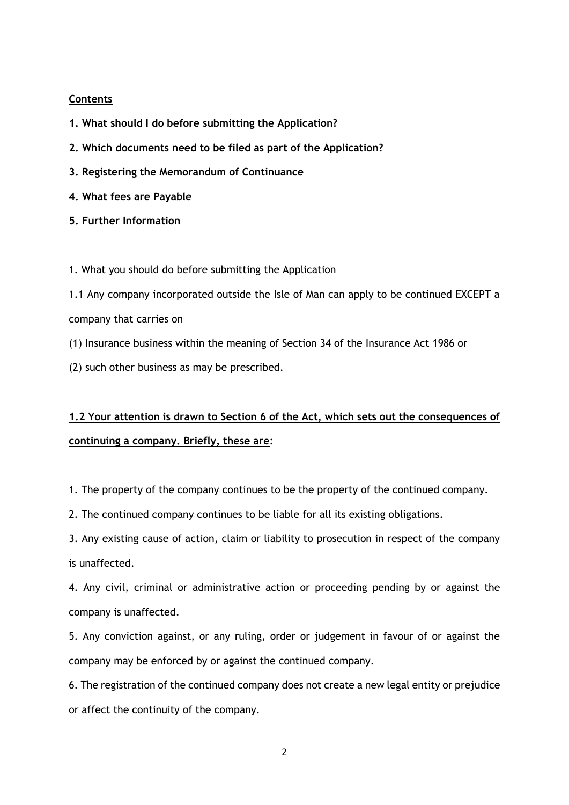## **Contents**

- **1. What should I do before submitting the Application?**
- **2. Which documents need to be filed as part of the Application?**
- **3. Registering the Memorandum of Continuance**
- **4. What fees are Payable**
- **5. Further Information**

1. What you should do before submitting the Application

1.1 Any company incorporated outside the Isle of Man can apply to be continued EXCEPT a company that carries on

(1) Insurance business within the meaning of Section 34 of the Insurance Act 1986 or

(2) such other business as may be prescribed.

# **1.2 Your attention is drawn to Section 6 of the Act, which sets out the consequences of continuing a company. Briefly, these are**:

1. The property of the company continues to be the property of the continued company.

2. The continued company continues to be liable for all its existing obligations.

3. Any existing cause of action, claim or liability to prosecution in respect of the company is unaffected.

4. Any civil, criminal or administrative action or proceeding pending by or against the company is unaffected.

5. Any conviction against, or any ruling, order or judgement in favour of or against the company may be enforced by or against the continued company.

6. The registration of the continued company does not create a new legal entity or prejudice or affect the continuity of the company.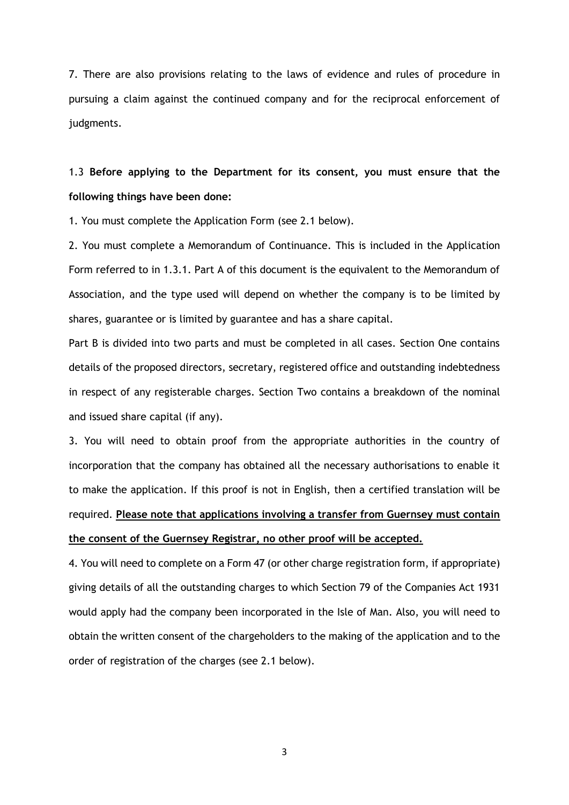7. There are also provisions relating to the laws of evidence and rules of procedure in pursuing a claim against the continued company and for the reciprocal enforcement of judgments.

## 1.3 **Before applying to the Department for its consent, you must ensure that the following things have been done:**

1. You must complete the Application Form (see 2.1 below).

2. You must complete a Memorandum of Continuance. This is included in the Application Form referred to in 1.3.1. Part A of this document is the equivalent to the Memorandum of Association, and the type used will depend on whether the company is to be limited by shares, guarantee or is limited by guarantee and has a share capital.

Part B is divided into two parts and must be completed in all cases. Section One contains details of the proposed directors, secretary, registered office and outstanding indebtedness in respect of any registerable charges. Section Two contains a breakdown of the nominal and issued share capital (if any).

3. You will need to obtain proof from the appropriate authorities in the country of incorporation that the company has obtained all the necessary authorisations to enable it to make the application. If this proof is not in English, then a certified translation will be required. **Please note that applications involving a transfer from Guernsey must contain the consent of the Guernsey Registrar, no other proof will be accepted.**

4. You will need to complete on a Form 47 (or other charge registration form, if appropriate) giving details of all the outstanding charges to which Section 79 of the Companies Act 1931 would apply had the company been incorporated in the Isle of Man. Also, you will need to obtain the written consent of the chargeholders to the making of the application and to the order of registration of the charges (see 2.1 below).

3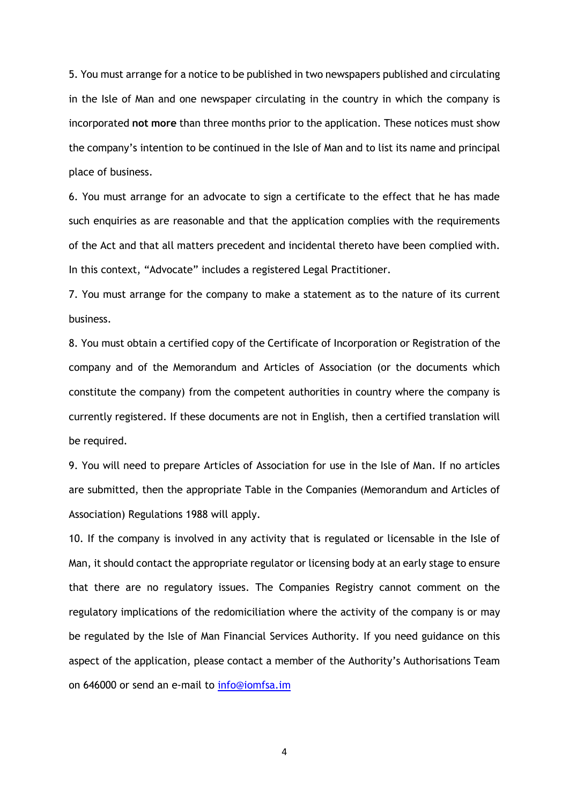5. You must arrange for a notice to be published in two newspapers published and circulating in the Isle of Man and one newspaper circulating in the country in which the company is incorporated **not more** than three months prior to the application. These notices must show the company's intention to be continued in the Isle of Man and to list its name and principal place of business.

6. You must arrange for an advocate to sign a certificate to the effect that he has made such enquiries as are reasonable and that the application complies with the requirements of the Act and that all matters precedent and incidental thereto have been complied with. In this context, "Advocate" includes a registered Legal Practitioner.

7. You must arrange for the company to make a statement as to the nature of its current business.

8. You must obtain a certified copy of the Certificate of Incorporation or Registration of the company and of the Memorandum and Articles of Association (or the documents which constitute the company) from the competent authorities in country where the company is currently registered. If these documents are not in English, then a certified translation will be required.

9. You will need to prepare Articles of Association for use in the Isle of Man. If no articles are submitted, then the appropriate Table in the Companies (Memorandum and Articles of Association) Regulations 1988 will apply.

10. If the company is involved in any activity that is regulated or licensable in the Isle of Man, it should contact the appropriate regulator or licensing body at an early stage to ensure that there are no regulatory issues. The Companies Registry cannot comment on the regulatory implications of the redomiciliation where the activity of the company is or may be regulated by the Isle of Man Financial Services Authority. If you need guidance on this aspect of the application, please contact a member of the Authority's Authorisations Team on 646000 or send an e-mail to [info@iomfsa.im](mailto:info@iomfsa.im)

4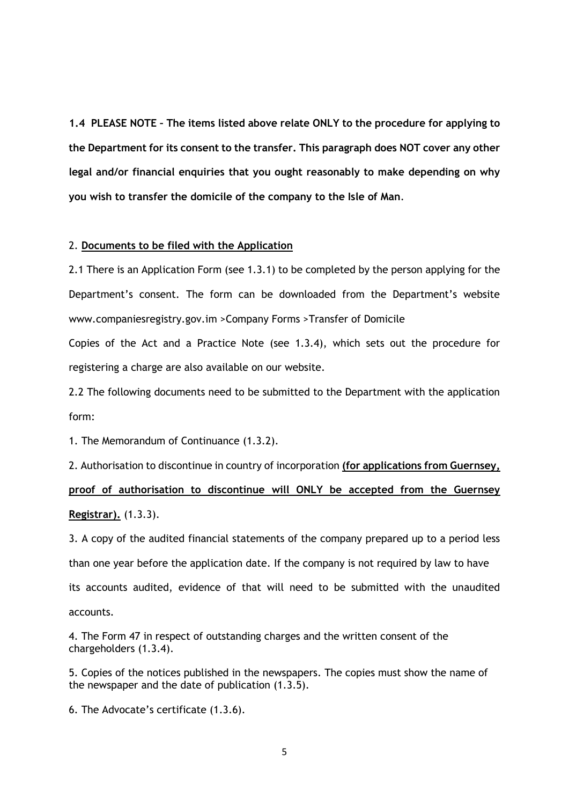**1.4 PLEASE NOTE – The items listed above relate ONLY to the procedure for applying to the Department for its consent to the transfer. This paragraph does NOT cover any other legal and/or financial enquiries that you ought reasonably to make depending on why you wish to transfer the domicile of the company to the Isle of Man**.

#### 2. **Documents to be filed with the Application**

2.1 There is an Application Form (see 1.3.1) to be completed by the person applying for the Department's consent. The form can be downloaded from the Department's website www.companiesregistry.gov.im >Company Forms >Transfer of Domicile

Copies of the Act and a Practice Note (see 1.3.4), which sets out the procedure for registering a charge are also available on our website.

2.2 The following documents need to be submitted to the Department with the application form:

1. The Memorandum of Continuance (1.3.2).

2. Authorisation to discontinue in country of incorporation **(for applications from Guernsey, proof of authorisation to discontinue will ONLY be accepted from the Guernsey Registrar).** (1.3.3).

3. A copy of the audited financial statements of the company prepared up to a period less than one year before the application date. If the company is not required by law to have its accounts audited, evidence of that will need to be submitted with the unaudited accounts.

4. The Form 47 in respect of outstanding charges and the written consent of the chargeholders (1.3.4).

5. Copies of the notices published in the newspapers. The copies must show the name of the newspaper and the date of publication (1.3.5).

6. The Advocate's certificate (1.3.6).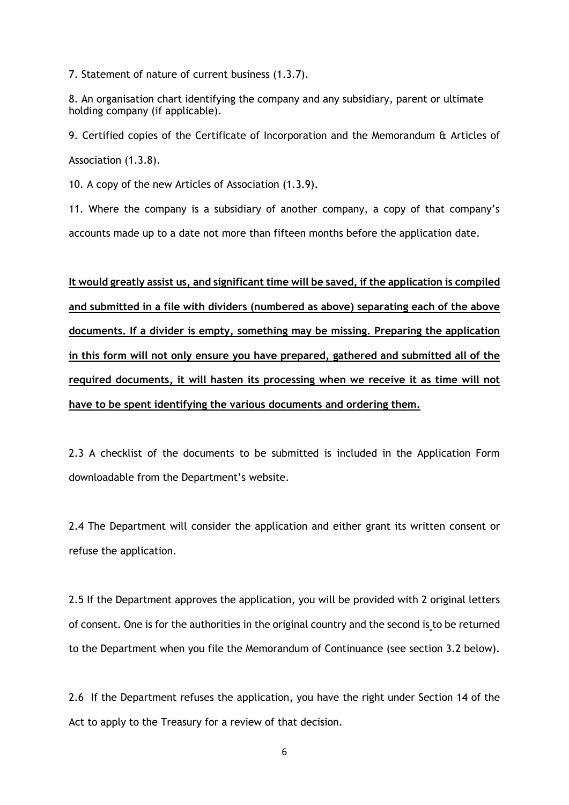7. Statement of nature of current business (1.3.7).

8. An organisation chart identifying the company and any subsidiary, parent or ultimate holding company (if applicable).

9. Certified copies of the Certificate of Incorporation and the Memorandum & Articles of Association (1.3.8).

10. A copy of the new Articles of Association (1.3.9).

11. Where the company is a subsidiary of another company, a copy of that company's accounts made up to a date not more than fifteen months before the application date.

**It would greatly assist us, and significant time will be saved, if the application is compiled and submitted in a file with dividers (numbered as above) separating each of the above documents. If a divider is empty, something may be missing. Preparing the application in this form will not only ensure you have prepared, gathered and submitted all of the required documents, it will hasten its processing when we receive it as time will not have to be spent identifying the various documents and ordering them.**

2.3 A checklist of the documents to be submitted is included in the Application Form downloadable from the Department's website.

2.4 The Department will consider the application and either grant its written consent or refuse the application.

2.5 If the Department approves the application, you will be provided with 2 original letters of consent. One is for the authorities in the original country and the second is to be returned to the Department when you file the Memorandum of Continuance (see section 3.2 below).

2.6 If the Department refuses the application, you have the right under Section 14 of the Act to apply to the Treasury for a review of that decision.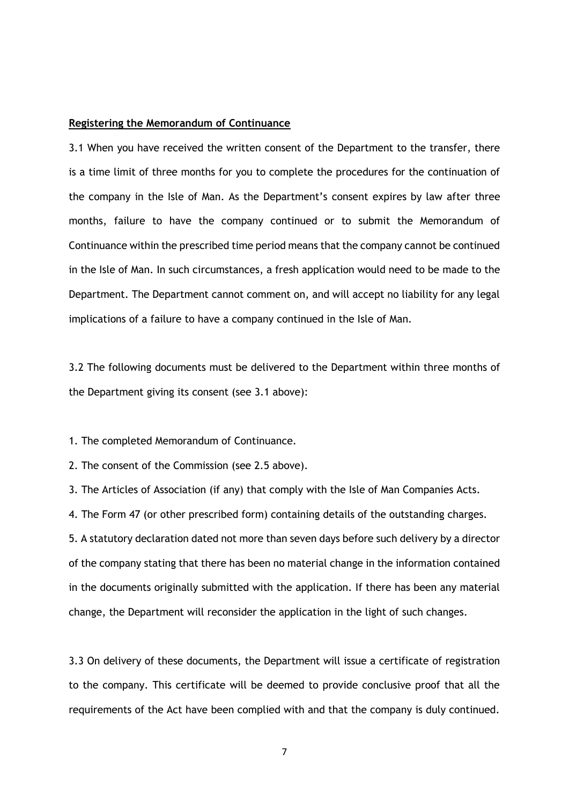#### **Registering the Memorandum of Continuance**

3.1 When you have received the written consent of the Department to the transfer, there is a time limit of three months for you to complete the procedures for the continuation of the company in the Isle of Man. As the Department's consent expires by law after three months, failure to have the company continued or to submit the Memorandum of Continuance within the prescribed time period means that the company cannot be continued in the Isle of Man. In such circumstances, a fresh application would need to be made to the Department. The Department cannot comment on, and will accept no liability for any legal implications of a failure to have a company continued in the Isle of Man.

3.2 The following documents must be delivered to the Department within three months of the Department giving its consent (see 3.1 above):

1. The completed Memorandum of Continuance.

2. The consent of the Commission (see 2.5 above).

3. The Articles of Association (if any) that comply with the Isle of Man Companies Acts.

4. The Form 47 (or other prescribed form) containing details of the outstanding charges.

5. A statutory declaration dated not more than seven days before such delivery by a director of the company stating that there has been no material change in the information contained in the documents originally submitted with the application. If there has been any material change, the Department will reconsider the application in the light of such changes.

3.3 On delivery of these documents, the Department will issue a certificate of registration to the company. This certificate will be deemed to provide conclusive proof that all the requirements of the Act have been complied with and that the company is duly continued.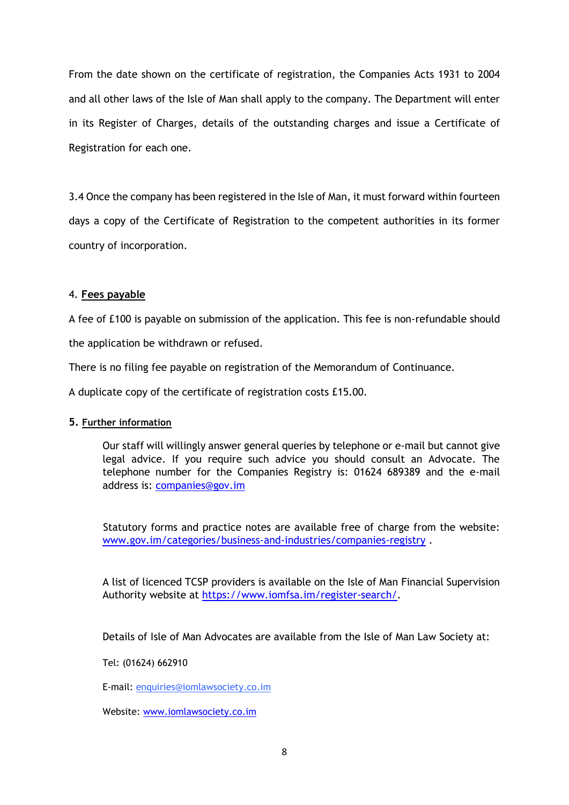From the date shown on the certificate of registration, the Companies Acts 1931 to 2004 and all other laws of the Isle of Man shall apply to the company. The Department will enter in its Register of Charges, details of the outstanding charges and issue a Certificate of Registration for each one.

3.4 Once the company has been registered in the Isle of Man, it must forward within fourteen days a copy of the Certificate of Registration to the competent authorities in its former country of incorporation.

## 4. **Fees payable**

A fee of £100 is payable on submission of the application. This fee is non-refundable should the application be withdrawn or refused.

There is no filing fee payable on registration of the Memorandum of Continuance.

A duplicate copy of the certificate of registration costs £15.00.

### **5. Further information**

Our staff will willingly answer general queries by telephone or e-mail but cannot give legal advice. If you require such advice you should consult an Advocate. The telephone number for the Companies Registry is: 01624 689389 and the e-mail address is: [companies@gov.im](mailto:companies.registry@gov.im)

Statutory forms and practice notes are available free of charge from the website: [www.gov.im/categories/business-and-industries/companies-registry](http://www.gov.im/categories/business-and-industries/companies-registry) .

A list of licenced TCSP providers is available on the Isle of Man Financial Supervision Authority website at [https://www.iomfsa.im/register-search/.](https://www.iomfsa.im/register-search/)

Details of Isle of Man Advocates are available from the Isle of Man Law Society at:

Tel: (01624) 662910

E-mail: [enquiries@iomlawsociety.co.im](mailto:iomlawsoc@advsys.co.uk)

Website: [www.iomlawsociety.co.im](http://www.iomlawsociety.co.im/)